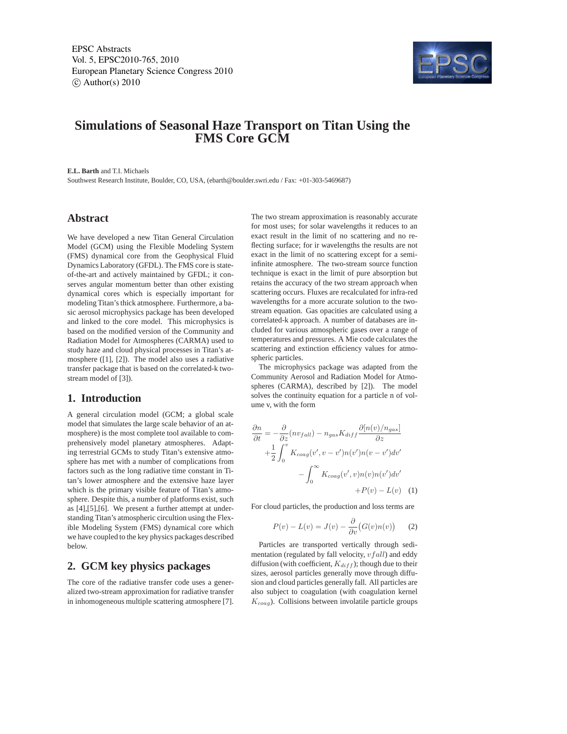EPSC Abstracts Vol. 5, EPSC2010-765, 2010 European Planetary Science Congress 2010  $\circ$  Author(s) 2010



# **Simulations of Seasonal Haze Transport on Titan Using the FMS Core GCM**

**E.L. Barth** and T.I. Michaels

Southwest Research Institute, Boulder, CO, USA, (ebarth@boulder.swri.edu / Fax: +01-303-5469687)

#### **Abstract**

We have developed a new Titan General Circulation Model (GCM) using the Flexible Modeling System (FMS) dynamical core from the Geophysical Fluid Dynamics Laboratory (GFDL). The FMS core is stateof-the-art and actively maintained by GFDL; it conserves angular momentum better than other existing dynamical cores which is especially important for modeling Titan's thick atmosphere. Furthermore, a basic aerosol microphysics package has been developed and linked to the core model. This microphysics is based on the modified version of the Community and Radiation Model for Atmospheres (CARMA) used to study haze and cloud physical processes in Titan's atmosphere ([1], [2]). The model also uses a radiative transfer package that is based on the correlated-k twostream model of [3]).

# **1. Introduction**

A general circulation model (GCM; a global scale model that simulates the large scale behavior of an atmosphere) is the most complete tool available to comprehensively model planetary atmospheres. Adapting terrestrial GCMs to study Titan's extensive atmosphere has met with a number of complications from factors such as the long radiative time constant in Titan's lower atmosphere and the extensive haze layer which is the primary visible feature of Titan's atmosphere. Despite this, a number of platforms exist, such as [4],[5],[6]. We present a further attempt at understanding Titan's atmospheric circultion using the Flexible Modeling System (FMS) dynamical core which we have coupled to the key physics packages described below.

## **2. GCM key physics packages**

The core of the radiative transfer code uses a generalized two-stream approximation for radiative transfer in inhomogeneous multiple scattering atmosphere [7]. The two stream approximation is reasonably accurate for most uses; for solar wavelengths it reduces to an exact result in the limit of no scattering and no reflecting surface; for ir wavelengths the results are not exact in the limit of no scattering except for a semiinfinite atmosphere. The two-stream source function technique is exact in the limit of pure absorption but retains the accuracy of the two stream approach when scattering occurs. Fluxes are recalculated for infra-red wavelengths for a more accurate solution to the twostream equation. Gas opacities are calculated using a correlated-k approach. A number of databases are included for various atmospheric gases over a range of temperatures and pressures. A Mie code calculates the scattering and extinction efficiency values for atmospheric particles.

The microphysics package was adapted from the Community Aerosol and Radiation Model for Atmospheres (CARMA), described by [2]). The model solves the continuity equation for a particle n of volume v, with the form

$$
\frac{\partial n}{\partial t} = -\frac{\partial}{\partial z}(nv_{fall}) - n_{gas}K_{diff}\frac{\partial [n(v)/n_{gas}]}{\partial z} \n+ \frac{1}{2} \int_0^v K_{coag}(v', v - v')n(v')n(v - v')dv' \n- \int_0^\infty K_{coag}(v', v)n(v)n(v')dv' \n+ P(v) - L(v) \quad (1)
$$

For cloud particles, the production and loss terms are

$$
P(v) - L(v) = J(v) - \frac{\partial}{\partial v} (G(v)n(v)) \qquad (2)
$$

Particles are transported vertically through sedimentation (regulated by fall velocity,  $vfall$ ) and eddy diffusion (with coefficient,  $K_{diff}$ ); though due to their sizes, aerosol particles generally move through diffusion and cloud particles generally fall. All particles are also subject to coagulation (with coagulation kernel  $K_{coaq}$ ). Collisions between involatile particle groups